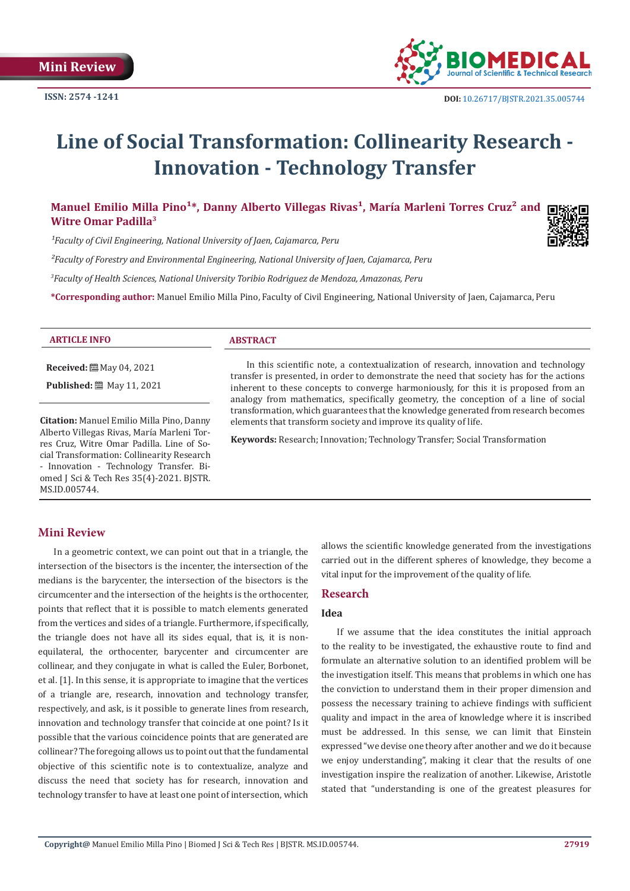

# **Line of Social Transformation: Collinearity Research - Innovation - Technology Transfer**

# Manuel Emilio Milla Pino<sup>1\*</sup>, Danny Alberto Villegas Rivas<sup>1</sup>, María Marleni Torres Cruz<sup>2</sup> and **Witre Omar Padilla3**

<sup>1</sup> Faculty of Civil Engineering, National University of Jaen, Cajamarca, Peru

*²Faculty of Forestry and Environmental Engineering, National University of Jaen, Cajamarca, Peru*

*3 Faculty of Health Sciences, National University Toribio Rodriguez de Mendoza, Amazonas, Peru*

**\*Corresponding author:** Manuel Emilio Milla Pino, Faculty of Civil Engineering, National University of Jaen, Cajamarca, Peru

|  | <b>ARTICLE INFO</b> |  |
|--|---------------------|--|
|  |                     |  |

**Received:** May 04, 2021

**Published:** 圖 May 11, 2021

**Citation:** Manuel Emilio Milla Pino, Danny Alberto Villegas Rivas, María Marleni Torres Cruz, Witre Omar Padilla. Line of Social Transformation: Collinearity Research - Innovation - Technology Transfer. Biomed J Sci & Tech Res 35(4)-2021. BJSTR. MS.ID.005744.

### **ABSTRACT**

In this scientific note, a contextualization of research, innovation and technology transfer is presented, in order to demonstrate the need that society has for the actions inherent to these concepts to converge harmoniously, for this it is proposed from an analogy from mathematics, specifically geometry, the conception of a line of social transformation, which guarantees that the knowledge generated from research becomes elements that transform society and improve its quality of life.

**Keywords:** Research; Innovation; Technology Transfer; Social Transformation

## **Mini Review**

In a geometric context, we can point out that in a triangle, the intersection of the bisectors is the incenter, the intersection of the medians is the barycenter, the intersection of the bisectors is the circumcenter and the intersection of the heights is the orthocenter, points that reflect that it is possible to match elements generated from the vertices and sides of a triangle. Furthermore, if specifically, the triangle does not have all its sides equal, that is, it is nonequilateral, the orthocenter, barycenter and circumcenter are collinear, and they conjugate in what is called the Euler, Borbonet, et al. [1]. In this sense, it is appropriate to imagine that the vertices of a triangle are, research, innovation and technology transfer, respectively, and ask, is it possible to generate lines from research, innovation and technology transfer that coincide at one point? Is it possible that the various coincidence points that are generated are collinear? The foregoing allows us to point out that the fundamental objective of this scientific note is to contextualize, analyze and discuss the need that society has for research, innovation and technology transfer to have at least one point of intersection, which

allows the scientific knowledge generated from the investigations carried out in the different spheres of knowledge, they become a vital input for the improvement of the quality of life.

#### **Research**

## **Idea**

If we assume that the idea constitutes the initial approach to the reality to be investigated, the exhaustive route to find and formulate an alternative solution to an identified problem will be the investigation itself. This means that problems in which one has the conviction to understand them in their proper dimension and possess the necessary training to achieve findings with sufficient quality and impact in the area of knowledge where it is inscribed must be addressed. In this sense, we can limit that Einstein expressed "we devise one theory after another and we do it because we enjoy understanding", making it clear that the results of one investigation inspire the realization of another. Likewise, Aristotle stated that "understanding is one of the greatest pleasures for